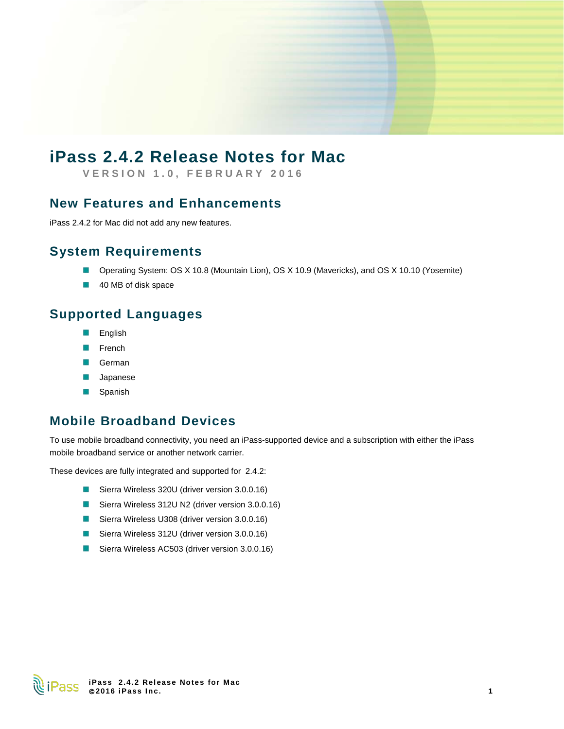# **iPass 2.4.2 Release Notes for Mac**

**VERSION 1. 0 , FEBRUARY 201 6**

#### **New Features and Enhancements**

iPass 2.4.2 for Mac did not add any new features.

### **System Requirements**

- Operating System: OS X 10.8 (Mountain Lion), OS X 10.9 (Mavericks), and OS X 10.10 (Yosemite)
- 40 MB of disk space

### **Supported Languages**

- English E
- R French
- German
- Japanese B
- Spanish þ.

### **Mobile Broadband Devices**

To use mobile broadband connectivity, you need an iPass-supported device and a subscription with either the iPass mobile broadband service or another network carrier.

These devices are fully integrated and supported for 2.4.2:

- Sierra Wireless 320U (driver version 3.0.0.16)
- Sierra Wireless 312U N2 (driver version 3.0.0.16)
- Sierra Wireless U308 (driver version 3.0.0.16)
- Sierra Wireless 312U (driver version 3.0.0.16)
- Sierra Wireless AC503 (driver version 3.0.0.16)

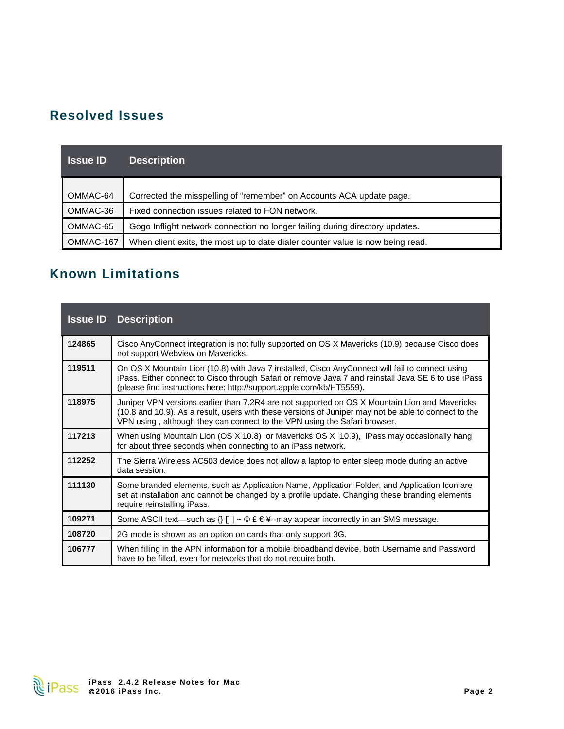## **Resolved Issues**

| <b>Samue ID</b> | <b>Description</b>                                                             |
|-----------------|--------------------------------------------------------------------------------|
| OMMAC-64        | Corrected the misspelling of "remember" on Accounts ACA update page.           |
| OMMAC-36        | Fixed connection issues related to FON network.                                |
| OMMAC-65        | Gogo Inflight network connection no longer failing during directory updates.   |
| OMMAC-167       | When client exits, the most up to date dialer counter value is now being read. |

## **Known Limitations**

| <b>Issue ID</b> | <b>Description</b>                                                                                                                                                                                                                                                                 |
|-----------------|------------------------------------------------------------------------------------------------------------------------------------------------------------------------------------------------------------------------------------------------------------------------------------|
| 124865          | Cisco AnyConnect integration is not fully supported on OS X Mavericks (10.9) because Cisco does<br>not support Webview on Mavericks.                                                                                                                                               |
| 119511          | On OS X Mountain Lion (10.8) with Java 7 installed, Cisco AnyConnect will fail to connect using<br>iPass. Either connect to Cisco through Safari or remove Java 7 and reinstall Java SE 6 to use iPass<br>(please find instructions here: http://support.apple.com/kb/HT5559).     |
| 118975          | Juniper VPN versions earlier than 7.2R4 are not supported on OS X Mountain Lion and Mavericks<br>(10.8 and 10.9). As a result, users with these versions of Juniper may not be able to connect to the<br>VPN using, although they can connect to the VPN using the Safari browser. |
| 117213          | When using Mountain Lion (OS X 10.8) or Mavericks OS X 10.9), iPass may occasionally hang<br>for about three seconds when connecting to an iPass network.                                                                                                                          |
| 112252          | The Sierra Wireless AC503 device does not allow a laptop to enter sleep mode during an active<br>data session.                                                                                                                                                                     |
| 111130          | Some branded elements, such as Application Name, Application Folder, and Application Icon are<br>set at installation and cannot be changed by a profile update. Changing these branding elements<br>require reinstalling iPass.                                                    |
| 109271          | Some ASCII text—such as $\{ \}$ []   ~ © £ € ¥--may appear incorrectly in an SMS message.                                                                                                                                                                                          |
| 108720          | 2G mode is shown as an option on cards that only support 3G.                                                                                                                                                                                                                       |
| 106777          | When filling in the APN information for a mobile broadband device, both Username and Password<br>have to be filled, even for networks that do not require both.                                                                                                                    |

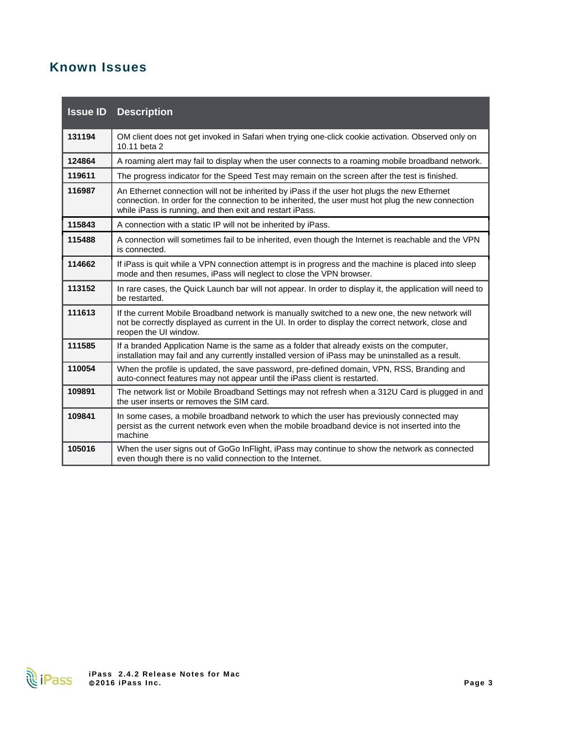## **Known Issues**

| <b>Issue ID</b> | <b>Description</b>                                                                                                                                                                                                                                             |
|-----------------|----------------------------------------------------------------------------------------------------------------------------------------------------------------------------------------------------------------------------------------------------------------|
| 131194          | OM client does not get invoked in Safari when trying one-click cookie activation. Observed only on<br>10.11 beta 2                                                                                                                                             |
| 124864          | A roaming alert may fail to display when the user connects to a roaming mobile broadband network.                                                                                                                                                              |
| 119611          | The progress indicator for the Speed Test may remain on the screen after the test is finished.                                                                                                                                                                 |
| 116987          | An Ethernet connection will not be inherited by iPass if the user hot plugs the new Ethernet<br>connection. In order for the connection to be inherited, the user must hot plug the new connection<br>while iPass is running, and then exit and restart iPass. |
| 115843          | A connection with a static IP will not be inherited by iPass.                                                                                                                                                                                                  |
| 115488          | A connection will sometimes fail to be inherited, even though the Internet is reachable and the VPN<br>is connected.                                                                                                                                           |
| 114662          | If iPass is quit while a VPN connection attempt is in progress and the machine is placed into sleep<br>mode and then resumes, iPass will neglect to close the VPN browser.                                                                                     |
| 113152          | In rare cases, the Quick Launch bar will not appear. In order to display it, the application will need to<br>be restarted.                                                                                                                                     |
| 111613          | If the current Mobile Broadband network is manually switched to a new one, the new network will<br>not be correctly displayed as current in the UI. In order to display the correct network, close and<br>reopen the UI window.                                |
| 111585          | If a branded Application Name is the same as a folder that already exists on the computer,<br>installation may fail and any currently installed version of iPass may be uninstalled as a result.                                                               |
| 110054          | When the profile is updated, the save password, pre-defined domain, VPN, RSS, Branding and<br>auto-connect features may not appear until the iPass client is restarted.                                                                                        |
| 109891          | The network list or Mobile Broadband Settings may not refresh when a 312U Card is plugged in and<br>the user inserts or removes the SIM card.                                                                                                                  |
| 109841          | In some cases, a mobile broadband network to which the user has previously connected may<br>persist as the current network even when the mobile broadband device is not inserted into the<br>machine                                                           |
| 105016          | When the user signs out of GoGo InFlight, iPass may continue to show the network as connected<br>even though there is no valid connection to the Internet.                                                                                                     |